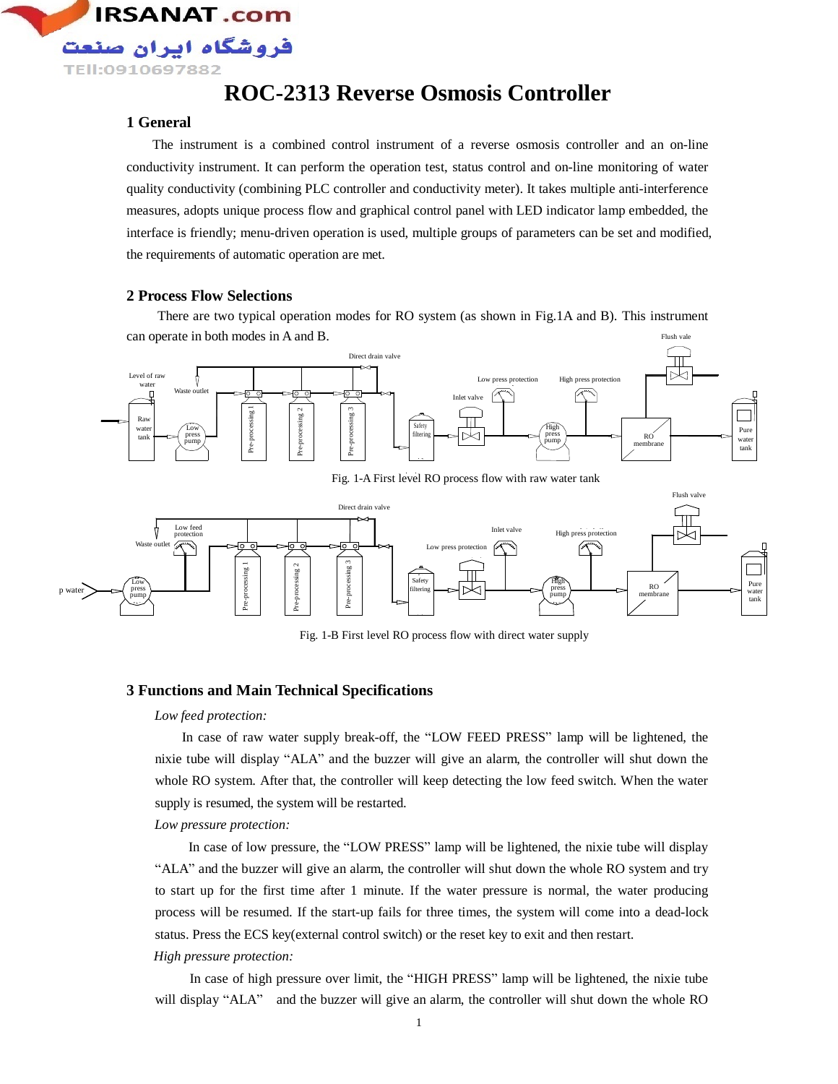

# **ROC-2313 Reverse Osmosis Controller**

### **1 General**

The instrument is a combined control instrument of a reverse osmosis controller and an on-line conductivity instrument. It can perform the operation test, status control and on-line monitoring of water quality conductivity (combining PLC controller and conductivity meter). It takes multiple anti-interference measures, adopts unique process flow and graphical control panel with LED indicator lamp embedded, the interface is friendly; menu-driven operation is used, multiple groups of parameters can be set and modified, the requirements of automatic operation are met.

#### **2 Process Flow Selections**

There are two typical operation modes for RO system (as shown in Fig.1A and B). This instrument can operate in both modes in A and B. Flush vale



Fig. 1-A First level RO process flow with raw water tank



Fig. 1-B First level RO process flow with direct water supply

#### **3 Functions and Main Technical Specifications**

#### *Low feed protection:*

In case of raw water supply break-off, the "LOW FEED PRESS" lamp will be lightened, the nixie tube will display "ALA" and the buzzer will give an alarm, the controller will shut down the whole RO system. After that, the controller will keep detecting the low feed switch. When the water supply is resumed, the system will be restarted.

*Low pressure protection:* 

In case of low pressure, the "LOW PRESS" lamp will be lightened, the nixie tube will display "ALA" and the buzzer will give an alarm, the controller will shut down the whole RO system and try to start up for the first time after 1 minute. If the water pressure is normal, the water producing process will be resumed. If the start-up fails for three times, the system will come into a dead-lock status. Press the ECS key(external control switch) or the reset key to exit and then restart. *High pressure protection:* 

In case of high pressure over limit, the "HIGH PRESS" lamp will be lightened, the nixie tube will display "ALA" and the buzzer will give an alarm, the controller will shut down the whole RO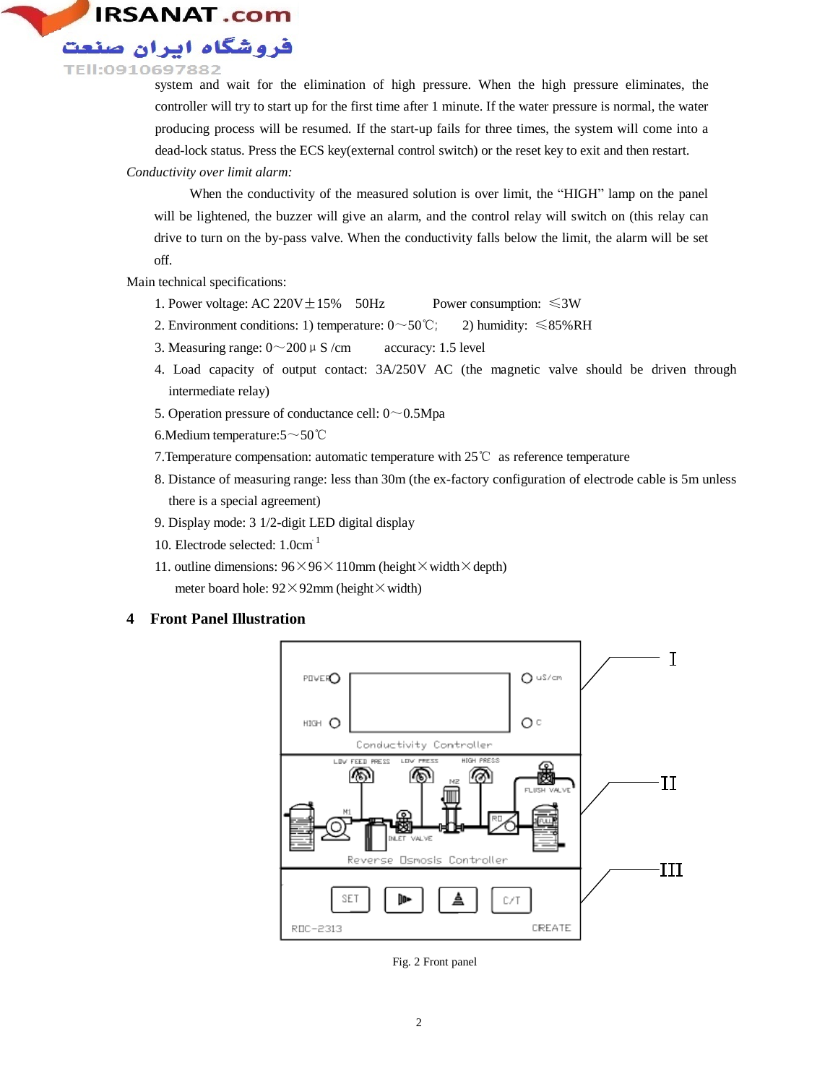

system and wait for the elimination of high pressure. When the high pressure eliminates, the controller will try to start up for the first time after 1 minute. If the water pressure is normal, the water producing process will be resumed. If the start-up fails for three times, the system will come into a dead-lock status. Press the ECS key(external control switch) or the reset key to exit and then restart.

#### *Conductivity over limit alarm:*

When the conductivity of the measured solution is over limit, the "HIGH" lamp on the panel will be lightened, the buzzer will give an alarm, and the control relay will switch on (this relay can drive to turn on the by-pass valve. When the conductivity falls below the limit, the alarm will be set off.

Main technical specifications:

- 1. Power voltage: AC 220V $\pm$ 15% 50Hz Power consumption:  $\leq 3W$
- 2. Environment conditions: 1) temperature:  $0 \sim 50^{\circ}$ C; 2) humidity:  $\leq 85\% \text{RH}$
- 3. Measuring range:  $0 \sim 200 \mu$  S /cm accuracy: 1.5 level
- 4. Load capacity of output contact: 3A/250V AC (the magnetic valve should be driven through intermediate relay)
- 5. Operation pressure of conductance cell:  $0 \sim 0.5Mpa$
- 6.Medium temperature:5~50℃
- 7.Temperature compensation: automatic temperature with 25℃ as reference temperature
- 8. Distance of measuring range: less than 30m (the ex-factory configuration of electrode cable is 5m unless there is a special agreement)
- 9. Display mode: 3 1/2-digit LED digital display
- 10. Electrode selected: 1.0cm -1
- 11. outline dimensions:  $96 \times 96 \times 110$  mm (height  $\times$  width  $\times$  depth) meter board hole:  $92 \times 92$ mm (height  $\times$  width)

## **4 Front Panel Illustration**



Fig. 2 Front panel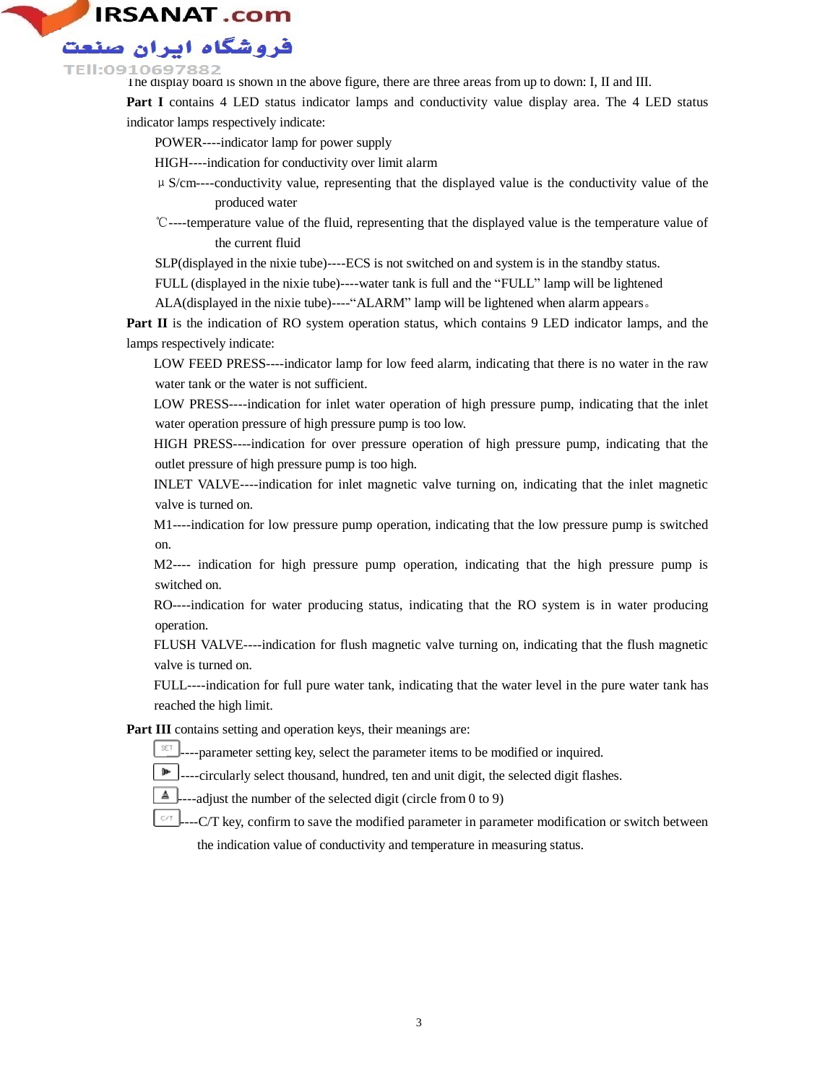

#### :0910697882

The display board is shown in the above figure, there are three areas from up to down: I, II and III.

**Part I** contains 4 LED status indicator lamps and conductivity value display area. The 4 LED status indicator lamps respectively indicate:

POWER----indicator lamp for power supply

HIGH----indication for conductivity over limit alarm

- $\mu$  S/cm----conductivity value, representing that the displayed value is the conductivity value of the produced water
- ℃----temperature value of the fluid, representing that the displayed value is the temperature value of the current fluid

SLP(displayed in the nixie tube)----ECS is not switched on and system is in the standby status.

FULL (displayed in the nixie tube)----water tank is full and the "FULL" lamp will be lightened

ALA(displayed in the nixie tube)----"ALARM" lamp will be lightened when alarm appears。

**Part II** is the indication of RO system operation status, which contains 9 LED indicator lamps, and the lamps respectively indicate:

 LOW FEED PRESS----indicator lamp for low feed alarm, indicating that there is no water in the raw water tank or the water is not sufficient.

 LOW PRESS----indication for inlet water operation of high pressure pump, indicating that the inlet water operation pressure of high pressure pump is too low.

 HIGH PRESS----indication for over pressure operation of high pressure pump, indicating that the outlet pressure of high pressure pump is too high.

 INLET VALVE----indication for inlet magnetic valve turning on, indicating that the inlet magnetic valve is turned on.

 M1----indication for low pressure pump operation, indicating that the low pressure pump is switched on.

 M2---- indication for high pressure pump operation, indicating that the high pressure pump is switched on.

 RO----indication for water producing status, indicating that the RO system is in water producing operation.

FLUSH VALVE----indication for flush magnetic valve turning on, indicating that the flush magnetic valve is turned on.

FULL----indication for full pure water tank, indicating that the water level in the pure water tank has reached the high limit.

**Part III** contains setting and operation keys, their meanings are:

- ----parameter setting key, select the parameter items to be modified or inquired.
- ----circularly select thousand, hundred, ten and unit digit, the selected digit flashes. ĵ⊩
- A -adjust the number of the selected digit (circle from 0 to 9)
- $C/T$ -C/T key, confirm to save the modified parameter in parameter modification or switch between the indication value of conductivity and temperature in measuring status.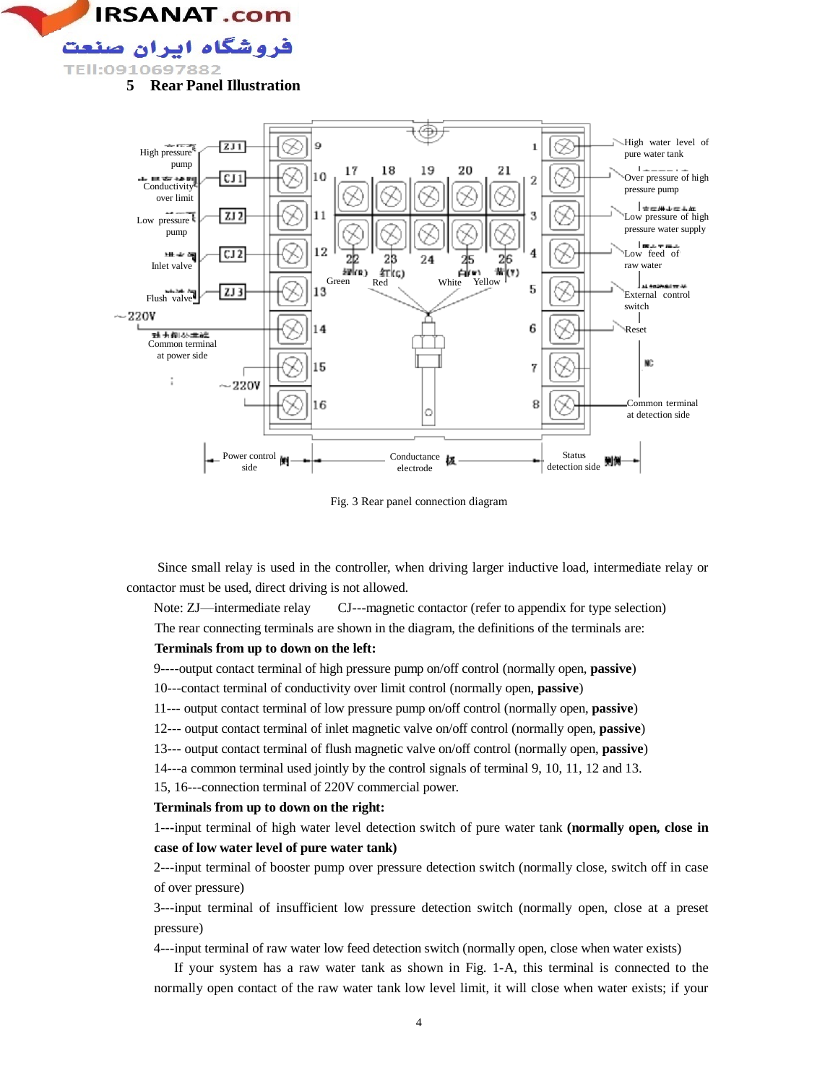



Fig. 3 Rear panel connection diagram

Since small relay is used in the controller, when driving larger inductive load, intermediate relay or contactor must be used, direct driving is not allowed.

Note: ZJ—intermediate relay CJ---magnetic contactor (refer to appendix for type selection) The rear connecting terminals are shown in the diagram, the definitions of the terminals are:

#### **Terminals from up to down on the left:**

9----output contact terminal of high pressure pump on/off control (normally open, **passive**)

10---contact terminal of conductivity over limit control (normally open, **passive**)

11--- output contact terminal of low pressure pump on/off control (normally open, **passive**)

- 12--- output contact terminal of inlet magnetic valve on/off control (normally open, **passive**)
- 13--- output contact terminal of flush magnetic valve on/off control (normally open, **passive**)

14---a common terminal used jointly by the control signals of terminal 9, 10, 11, 12 and 13.

15, 16---connection terminal of 220V commercial power.

#### **Terminals from up to down on the right:**

1-**--**input terminal of high water level detection switch of pure water tank **(normally open, close in case of low water level of pure water tank)** 

2---input terminal of booster pump over pressure detection switch (normally close, switch off in case of over pressure)

3---input terminal of insufficient low pressure detection switch (normally open, close at a preset pressure)

4---input terminal of raw water low feed detection switch (normally open, close when water exists)

 If your system has a raw water tank as shown in Fig. 1-A, this terminal is connected to the normally open contact of the raw water tank low level limit, it will close when water exists; if your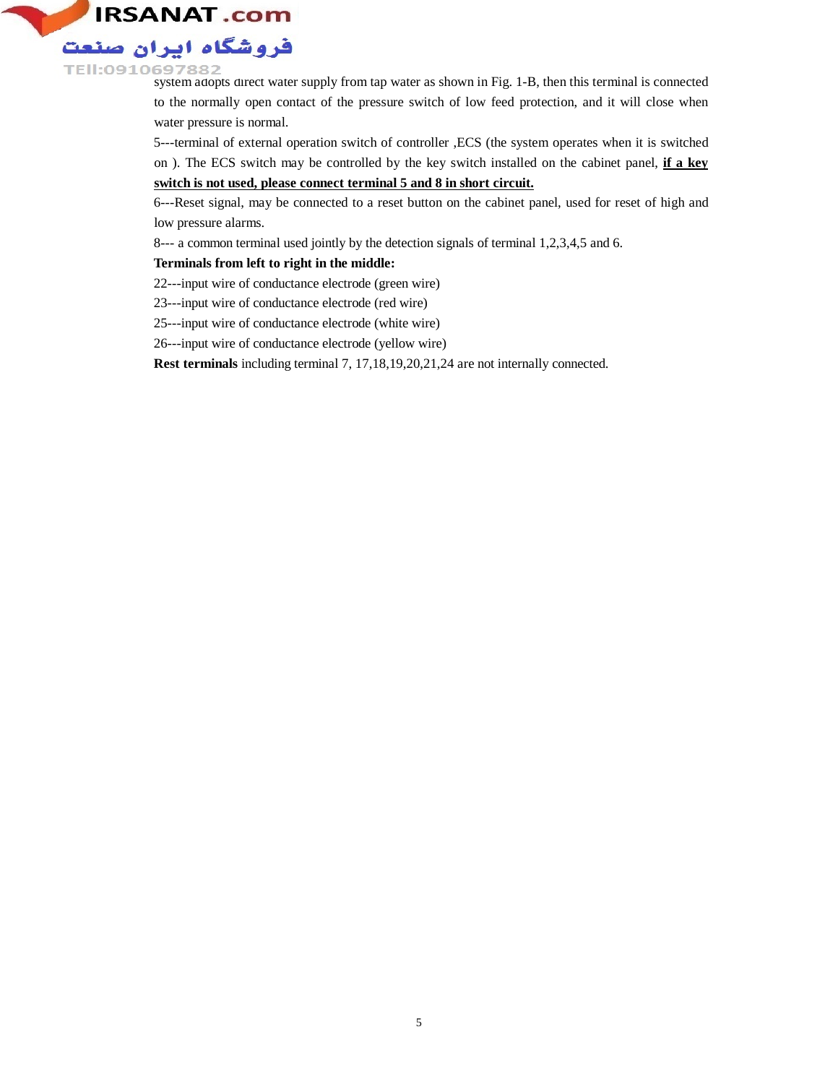

TEII: 0910697882<br>system adopts direct water supply from tap water as shown in Fig. 1-B, then this terminal is connected to the normally open contact of the pressure switch of low feed protection, and it will close when water pressure is normal.

> 5---terminal of external operation switch of controller ,ECS (the system operates when it is switched on ). The ECS switch may be controlled by the key switch installed on the cabinet panel, **if a key switch is not used, please connect terminal 5 and 8 in short circuit.**

> 6---Reset signal, may be connected to a reset button on the cabinet panel, used for reset of high and low pressure alarms.

8--- a common terminal used jointly by the detection signals of terminal 1,2,3,4,5 and 6.

### **Terminals from left to right in the middle:**

22---input wire of conductance electrode (green wire)

23---input wire of conductance electrode (red wire)

25---input wire of conductance electrode (white wire)

26---input wire of conductance electrode (yellow wire)

**Rest terminals** including terminal 7, 17,18,19,20,21,24 are not internally connected.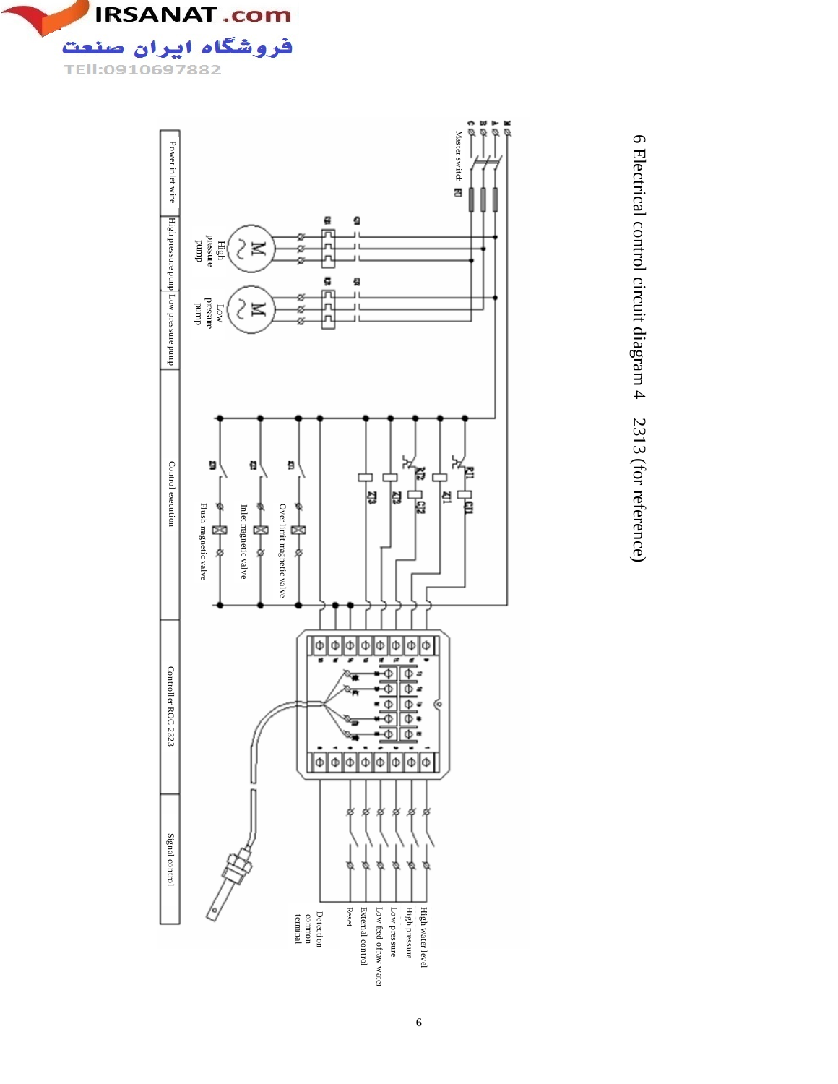



σ١ Electrical control circuit diagram 4 2313 (for reference)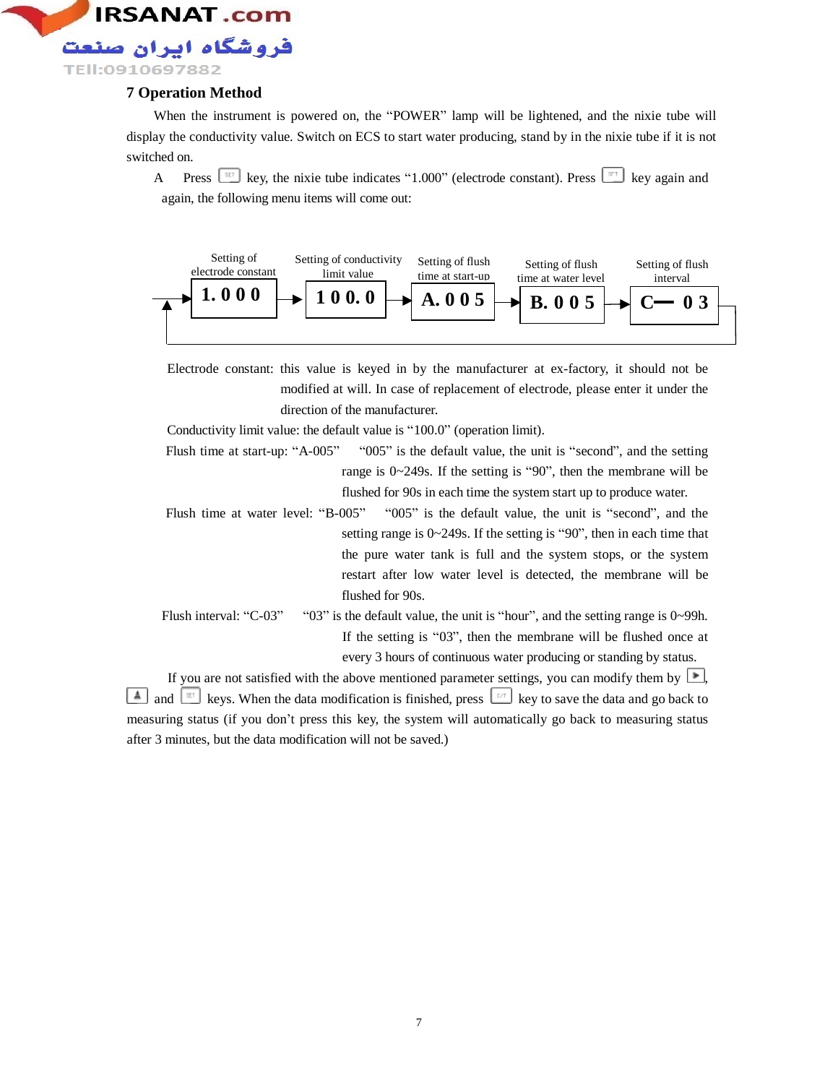

## **7 Operation Method**

When the instrument is powered on, the "POWER" lamp will be lightened, and the nixie tube will display the conductivity value. Switch on ECS to start water producing, stand by in the nixie tube if it is not switched on.

A Press  $\left[\begin{array}{cc} \overline{351} \\ \end{array}\right]$  key, the nixie tube indicates "1.000" (electrode constant). Press  $\left[\begin{array}{c} \overline{311} \\ \end{array}\right]$  key again and again, the following menu items will come out:



Electrode constant: this value is keyed in by the manufacturer at ex-factory, it should not be modified at will. In case of replacement of electrode, please enter it under the direction of the manufacturer.

Conductivity limit value: the default value is "100.0" (operation limit).

- Flush time at start-up: "A-005" "005" is the default value, the unit is "second", and the setting range is 0~249s. If the setting is "90", then the membrane will be flushed for 90s in each time the system start up to produce water.
- Flush time at water level: "B-005" "005" is the default value, the unit is "second", and the setting range is 0~249s. If the setting is "90", then in each time that the pure water tank is full and the system stops, or the system restart after low water level is detected, the membrane will be flushed for 90s.
- Flush interval: "C-03" "03" is the default value, the unit is "hour", and the setting range is  $0 \sim 99$ h. If the setting is "03", then the membrane will be flushed once at every 3 hours of continuous water producing or standing by status.

If you are not satisfied with the above mentioned parameter settings, you can modify them by  $\Box$ , and  $\lfloor \frac{\alpha}{\alpha} \rfloor$  keys. When the data modification is finished, press  $\lfloor \frac{\alpha}{\alpha} \rfloor$  key to save the data and go back to measuring status (if you don't press this key, the system will automatically go back to measuring status after 3 minutes, but the data modification will not be saved.)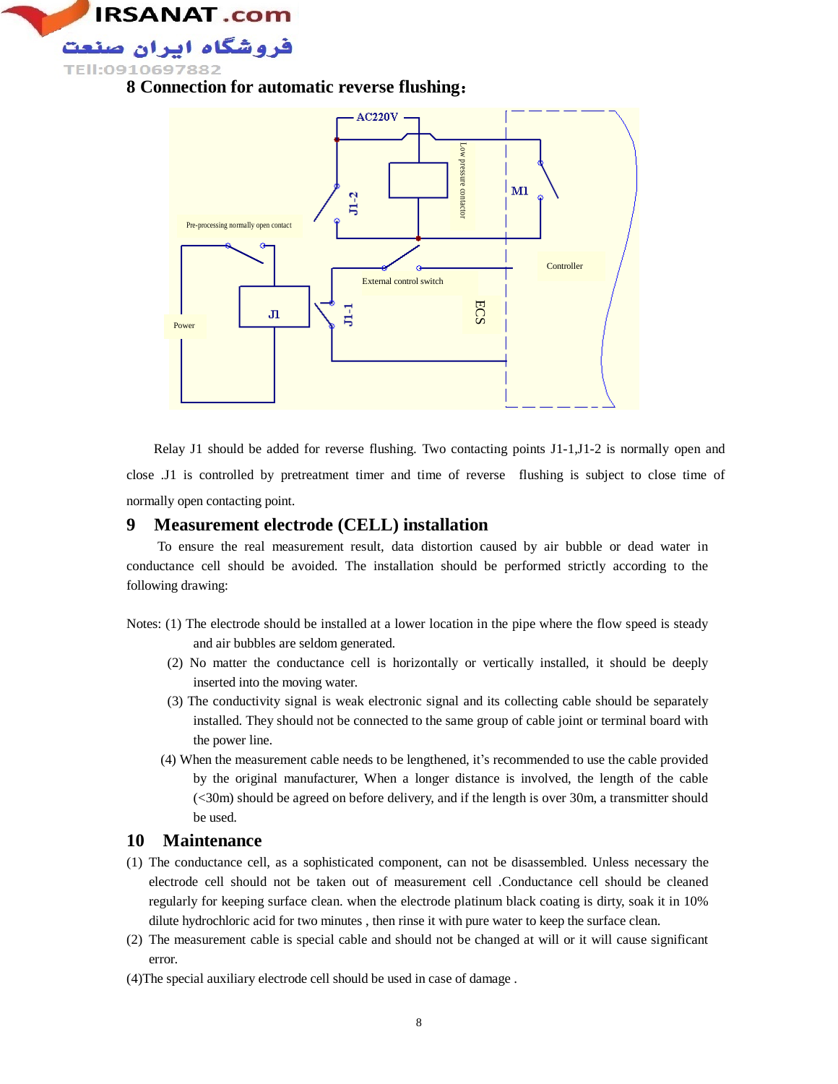

**8 Connection for automatic reverse flushing**:



Relay J1 should be added for reverse flushing. Two contacting points J1-1,J1-2 is normally open and close .J1 is controlled by pretreatment timer and time of reverse flushing is subject to close time of normally open contacting point.

## **9 Measurement electrode (CELL) installation**

To ensure the real measurement result, data distortion caused by air bubble or dead water in conductance cell should be avoided. The installation should be performed strictly according to the following drawing:

- Notes: (1) The electrode should be installed at a lower location in the pipe where the flow speed is steady and air bubbles are seldom generated.
	- (2) No matter the conductance cell is horizontally or vertically installed, it should be deeply inserted into the moving water.
	- (3) The conductivity signal is weak electronic signal and its collecting cable should be separately installed. They should not be connected to the same group of cable joint or terminal board with the power line.
	- (4) When the measurement cable needs to be lengthened, it's recommended to use the cable provided by the original manufacturer, When a longer distance is involved, the length of the cable (<30m) should be agreed on before delivery, and if the length is over 30m, a transmitter should be used.

## **10 Maintenance**

- (1) The conductance cell, as a sophisticated component, can not be disassembled. Unless necessary the electrode cell should not be taken out of measurement cell .Conductance cell should be cleaned regularly for keeping surface clean. when the electrode platinum black coating is dirty, soak it in 10% dilute hydrochloric acid for two minutes , then rinse it with pure water to keep the surface clean.
- (2) The measurement cable is special cable and should not be changed at will or it will cause significant error.
- (4)The special auxiliary electrode cell should be used in case of damage .